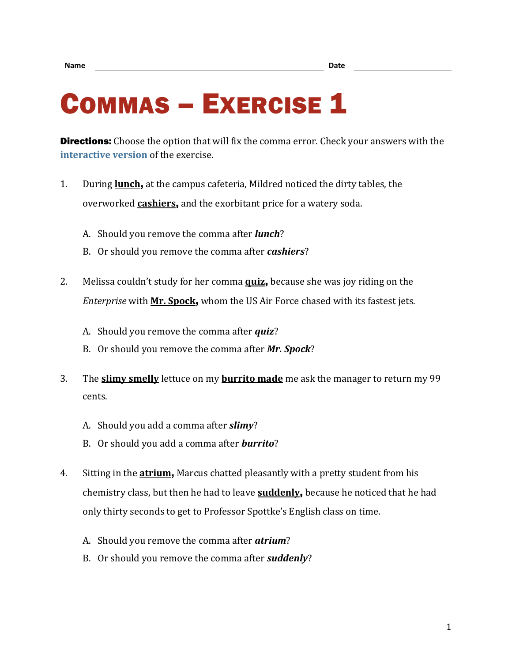## COMMAS - EXERCISE 1

**Directions:** Choose the option that will fix the comma error. Check your answers with the **[interactive version](https://chompchomp.com/hotpotatoes/commas01.htm)** of the exercise.

- 1. During **lunch**, at the campus cafeteria, Mildred noticed the dirty tables, the overworked **cashiers**, and the exorbitant price for a watery soda.
	- A. Should you remove the comma after *lunch*?
	- B. Or should you remove the comma after *cashiers*?
- 2. Melissa couldn't study for her comma **quiz**, because she was joy riding on the *Enterprise* with **Mr. Spock**, whom the US Air Force chased with its fastest jets.
	- A. Should you remove the comma after *quiz*?
	- B. Or should you remove the comma after *Mr. Spock*?
- 3. The **slimy smelly** lettuce on my **burrito made** me ask the manager to return my 99 cents.
	- A. Should you add a comma after *slimy*?
	- B. Or should you add a comma after *burrito*?
- 4. Sitting in the **atrium**, Marcus chatted pleasantly with a pretty student from his chemistry class, but then he had to leave **suddenly**, because he noticed that he had only thirty seconds to get to Professor Spottke's English class on time.
	- A. Should you remove the comma after *atrium*?
	- B. Or should you remove the comma after *suddenly*?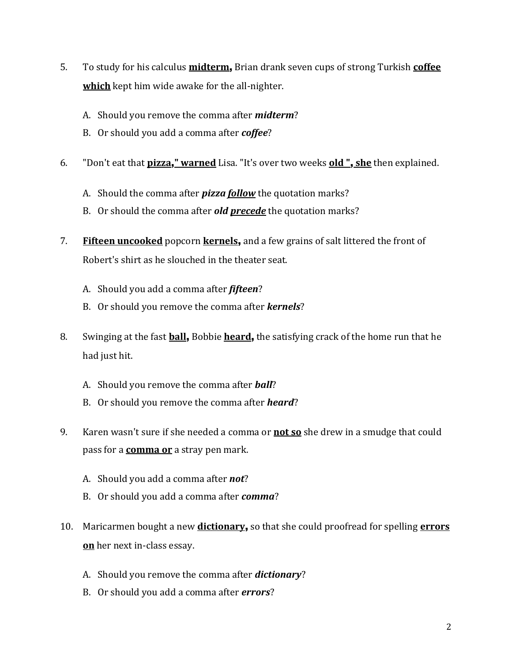- 5. To study for his calculus **midterm**, Brian drank seven cups of strong Turkish **coffee which** kept him wide awake for the all-nighter.
	- A. Should you remove the comma after *midterm*?
	- B. Or should you add a comma after *coffee*?
- 6. "Don't eat that **pizza**,**" warned** Lisa. "It's over two weeks **old "**, **she** then explained.
	- A. Should the comma after *pizza follow* the quotation marks?
	- B. Or should the comma after *old precede* the quotation marks?
- 7. **Fifteen uncooked** popcorn **kernels**, and a few grains of salt littered the front of Robert's shirt as he slouched in the theater seat.
	- A. Should you add a comma after *fifteen*?
	- B. Or should you remove the comma after *kernels*?
- 8. Swinging at the fast **ball**, Bobbie **heard**, the satisfying crack of the home run that he had just hit.
	- A. Should you remove the comma after *ball*?
	- B. Or should you remove the comma after *heard*?
- 9. Karen wasn't sure if she needed a comma or **not so** she drew in a smudge that could pass for a **comma or** a stray pen mark.
	- A. Should you add a comma after *not*?
	- B. Or should you add a comma after *comma*?
- 10. Maricarmen bought a new **dictionary**, so that she could proofread for spelling **errors on** her next in-class essay.
	- A. Should you remove the comma after *dictionary*?
	- B. Or should you add a comma after *errors*?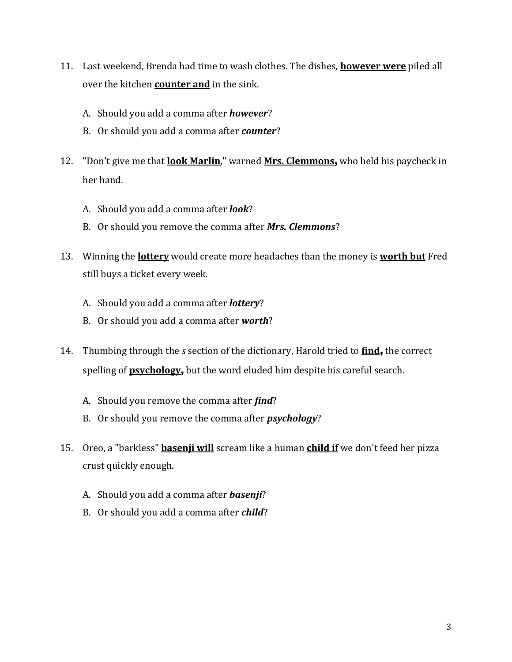- 11. Last weekend, Brenda had time to wash clothes. The dishes, **however were** piled all over the kitchen **counter and** in the sink.
	- A. Should you add a comma after *however*?
	- B. Or should you add a comma after *counter*?
- 12. "Don't give me that **look Marlin**," warned **Mrs. Clemmons**, who held his paycheck in her hand.
	- A. Should you add a comma after *look*?
	- B. Or should you remove the comma after *Mrs. Clemmons*?
- 13. Winning the **lottery** would create more headaches than the money is **worth but** Fred still buys a ticket every week.
	- A. Should you add a comma after *lottery*?
	- B. Or should you add a comma after *worth*?
- 14. Thumbing through the *s* section of the dictionary, Harold tried to **find**, the correct spelling of **psychology**, but the word eluded him despite his careful search.
	- A. Should you remove the comma after *find*?
	- B. Or should you remove the comma after *psychology*?
- 15. Oreo, a "barkless" **basenji will** scream like a human **child if** we don't feed her pizza crust quickly enough.
	- A. Should you add a comma after *basenji*?
	- B. Or should you add a comma after *child*?